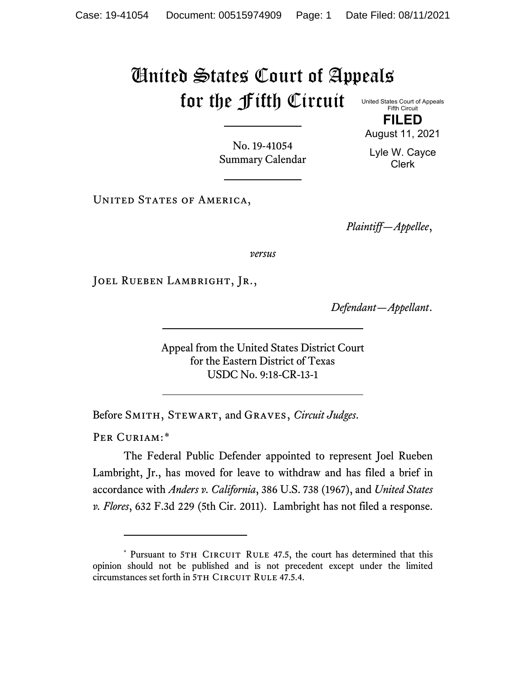## United States Court of Appeals for the Fifth Circuit

United States Court of Appeals Fifth Circuit **FILED**

No. 19-41054 Summary Calendar August 11, 2021 Lyle W. Cayce

Clerk

UNITED STATES OF AMERICA,

*Plaintiff—Appellee*,

*versus*

JOEL RUEBEN LAMBRIGHT, JR.,

*Defendant—Appellant*.

Appeal from the United States District Court for the Eastern District of Texas USDC No. 9:18-CR-13-1

Before Smith, Stewart, and Graves, *Circuit Judges*.

PER CURIAM:[\\*](#page-0-0)

The Federal Public Defender appointed to represent Joel Rueben Lambright, Jr., has moved for leave to withdraw and has filed a brief in accordance with *Anders v. California*, 386 U.S. 738 (1967), and *United States v. Flores*, 632 F.3d 229 (5th Cir. 2011). Lambright has not filed a response.

<span id="page-0-0"></span><sup>\*</sup> Pursuant to 5TH CIRCUIT RULE 47.5, the court has determined that this opinion should not be published and is not precedent except under the limited circumstances set forth in 5TH CIRCUIT RULE 47.5.4.